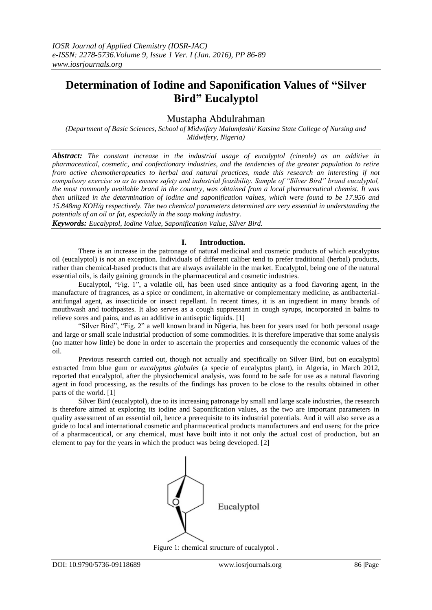# **Determination of Iodine and Saponification Values of "Silver Bird" Eucalyptol**

# Mustapha Abdulrahman

*(Department of Basic Sciences, School of Midwifery Malumfashi/ Katsina State College of Nursing and Midwifery, Nigeria)*

*Abstract: The constant increase in the industrial usage of eucalyptol (cineole) as an additive in pharmaceutical, cosmetic, and confectionary industries, and the tendencies of the greater population to retire from active chemotherapeutics to herbal and natural practices, made this research an interesting if not compulsory exercise so as to ensure safety and industrial feasibility. Sample of "Silver Bird" brand eucalyptol, the most commonly available brand in the country, was obtained from a local pharmaceutical chemist. It was then utilized in the determination of iodine and saponification values, which were found to be 17.956 and 15.848mg KOH/g respectively. The two chemical parameters determined are very essential in understanding the potentials of an oil or fat, especially in the soap making industry.*

*Keywords: Eucalyptol, Iodine Value, Saponification Value, Silver Bird.*

### **I. Introduction.**

There is an increase in the patronage of natural medicinal and cosmetic products of which eucalyptus oil (eucalyptol) is not an exception. Individuals of different caliber tend to prefer traditional (herbal) products, rather than chemical-based products that are always available in the market. Eucalyptol, being one of the natural essential oils, is daily gaining grounds in the pharmaceutical and cosmetic industries.

 Eucalyptol, "Fig. 1", a volatile oil, has been used since antiquity as a food flavoring agent, in the manufacture of fragrances, as a spice or condiment, in alternative or complementary medicine, as antibacterialantifungal agent, as insecticide or insect repellant. In recent times, it is an ingredient in many brands of mouthwash and toothpastes. It also serves as a cough suppressant in cough syrups, incorporated in balms to relieve sores and pains, and as an additive in antiseptic liquids. [1]

 "Silver Bird", "Fig. 2" a well known brand in Nigeria, has been for years used for both personal usage and large or small scale industrial production of some commodities. It is therefore imperative that some analysis (no matter how little) be done in order to ascertain the properties and consequently the economic values of the oil.

 Previous research carried out, though not actually and specifically on Silver Bird, but on eucalyptol extracted from blue gum or *eucalyptus globules* (a specie of eucalyptus plant), in Algeria, in March 2012, reported that eucalyptol, after the physiochemical analysis, was found to be safe for use as a natural flavoring agent in food processing, as the results of the findings has proven to be close to the results obtained in other parts of the world. [1]

 Silver Bird (eucalyptol), due to its increasing patronage by small and large scale industries, the research is therefore aimed at exploring its iodine and Saponification values, as the two are important parameters in quality assessment of an essential oil, hence a prerequisite to its industrial potentials. And it will also serve as a guide to local and international cosmetic and pharmaceutical products manufacturers and end users; for the price of a pharmaceutical, or any chemical, must have built into it not only the actual cost of production, but an element to pay for the years in which the product was being developed. [2]



Figure 1: chemical structure of eucalyptol .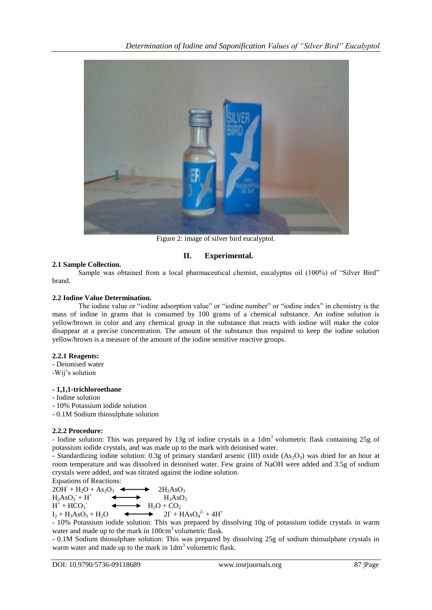

Figure 2: image of silver bird eucalyptol.

# **II. Experimental.**

### **2.1 Sample Collection.**

Sample was obtained from a local pharmaceutical chemist, eucalyptus oil (100%) of "Silver Bird" brand.

### **2.2 Iodine Value Determination.**

The iodine value or "iodine adsorption value" or "iodine number" or "iodine index" in chemistry is the mass of iodine in grams that is consumed by 100 grams of a chemical substance. An iodine solution is yellow/brown in color and any chemical group in the substance that reacts with iodine will make the color disappear at a precise concentration. The amount of the substance thus required to keep the iodine solution yellow/brown is a measure of the amount of the iodine sensitive reactive groups.

### **2.2.1 Reagents:**

- Deionised water

-Wij's solution

### **- 1,1,1-trichloroethane**

- Iodine solution
- 10% Potassium iodide solution
- 0.1M Sodium thiosulphate solution

### **2.2.2 Procedure:**

- Iodine solution: This was prepared by 13g of iodine crystals in a 1dm<sup>3</sup> volumetric flask containing 25g of potassium iodide crystals, and was made up to the mark with deionised water.

- Standardizing iodine solution: 0.3g of primary standard arsenic (III) oxide  $(As<sub>2</sub>O<sub>3</sub>)$  was dried for an hour at room temperature and was dissolved in deionised water. Few grains of NaOH were added and 3.5g of sodium crystals were added, and was titrated against the iodine solution.



```
H^+ + HCO<sub>3</sub>H_2O + CO_2
```

```
I_2 + H_3AsO_3 + H_2O+ HAsO<sub>4</sub><sup>2-</sup> + 4H<sup>+</sup>
```
- 10% Potassium iodide solution: This was prepared by dissolving 10g of potassium iodide crystals in warm water and made up to the mark in  $100 \text{cm}^3$  volumetric flask.

- 0.1M Sodium thiosulphate solution: This was prepared by dissolving 25g of sodium thiosulphate crystals in warm water and made up to the mark in  $1dm<sup>3</sup>$  volumetric flask.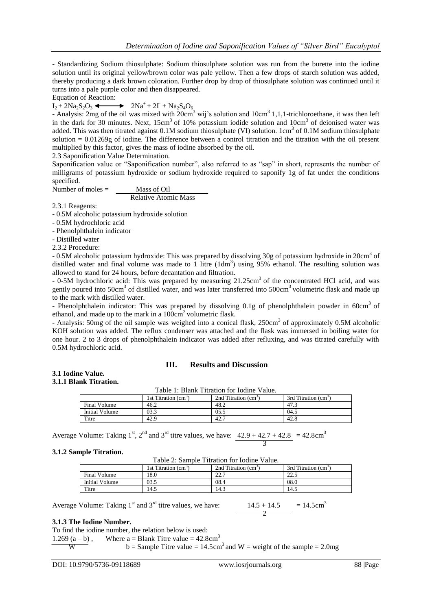- Standardizing Sodium thiosulphate: Sodium thiosulphate solution was run from the burette into the iodine solution until its original yellow/brown color was pale yellow. Then a few drops of starch solution was added, thereby producing a dark brown coloration. Further drop by drop of thiosulphate solution was continued until it turns into a pale purple color and then disappeared.

Equation of Reaction:

 $I_2 + 2Na_2S_2O_3$   $\longrightarrow$   $2Na^+ + 2I + Na_2S_4O_6$ 

- Analysis: 2mg of the oil was mixed with  $20 \text{cm}^3$  wij's solution and  $10 \text{cm}^3$  1,1,1-trichloroethane, it was then left in the dark for 30 minutes. Next,  $15cm<sup>3</sup>$  of 10% potassium iodide solution and  $10cm<sup>3</sup>$  of deionised water was added. This was then titrated against  $0.1M$  sodium thiosulphate (VI) solution.  $1cm<sup>3</sup>$  of  $0.1M$  sodium thiosulphate solution  $= 0.01269g$  of iodine. The difference between a control titration and the titration with the oil present multiplied by this factor, gives the mass of iodine absorbed by the oil.

2.3 Saponification Value Determination.

Saponification value or "Saponification number", also referred to as "sap" in short, represents the number of milligrams of potassium hydroxide or sodium hydroxide required to saponify 1g of fat under the conditions specified.

Number of moles  $=$  <u>Mass of Oil</u>

Relative Atomic Mass

2.3.1 Reagents:

- 0.5M alcoholic potassium hydroxide solution

- 0.5M hydrochloric acid

- Phenolphthalein indicator

- Distilled water

2.3.2 Procedure:

- 0.5M alcoholic potassium hydroxide: This was prepared by dissolving 30g of potassium hydroxide in 20cm<sup>3</sup> of distilled water and final volume was made to 1 litre  $(1dm<sup>3</sup>)$  using 95% ethanol. The resulting solution was allowed to stand for 24 hours, before decantation and filtration.

- 0-5M hydrochloric acid: This was prepared by measuring 21.25cm<sup>3</sup> of the concentrated HCl acid, and was gently poured into 50cm<sup>3</sup> of distilled water, and was later transferred into 500cm<sup>3</sup> volumetric flask and made up to the mark with distilled water.

- Phenolphthalein indicator: This was prepared by dissolving 0.1g of phenolphthalein powder in 60cm<sup>3</sup> of ethanol, and made up to the mark in a  $100 \text{cm}^3$  volumetric flask.

- Analysis: 50mg of the oil sample was weighed into a conical flask, 250cm<sup>3</sup> of approximately 0.5M alcoholic KOH solution was added. The reflux condenser was attached and the flask was immersed in boiling water for one hour. 2 to 3 drops of phenolphthalein indicator was added after refluxing, and was titrated carefully with 0.5M hydrochloric acid.

#### **III. Results and Discussion**

#### **3.1 Iodine Value. 3.1.1 Blank Titration.**

| Table 1: Blank Titration for Iodine Value. |                       |                                  |                                  |  |  |
|--------------------------------------------|-----------------------|----------------------------------|----------------------------------|--|--|
|                                            | 1st Titration $(cm3)$ | 2nd Titration (cm <sup>3</sup> ) | 3rd Titration (cm <sup>3</sup> ) |  |  |
| Final Volume                               | 46.2                  | 48.2                             | 47.3                             |  |  |
| Initial Volume                             | 03.3                  | 0.5.5                            | 04.5                             |  |  |
| Titre                                      | 42.9                  | 42.7                             | 42.8                             |  |  |

Average Volume: Taking  $1^{st}$ ,  $2^{nd}$  and  $3^{rd}$  titre values, we have:  $42.9 + 42.7 + 42.8 = 42.8 \text{ cm}^3$ 

3

#### **3.1.2 Sample Titration.**

| Tuble 2. Buillble Thinnelon for Tourne Tube. |                                  |                                  |                                  |  |  |
|----------------------------------------------|----------------------------------|----------------------------------|----------------------------------|--|--|
|                                              | 1st Titration (cm <sup>3</sup> ) | 2nd Titration (cm <sup>3</sup> ) | 3rd Titration (cm <sup>3</sup> ) |  |  |
| Final Volume                                 | 18.0                             | າາ າ<br>44.                      | າາເ<br>ل دے ک                    |  |  |
| Initial Volume                               | 03.5                             | 08.4                             | 08.0                             |  |  |
| Titre                                        | 14.5                             | 14.3                             | 14.5                             |  |  |

Table 2: Sample Titration for Iodine Value.

Average Volume: Taking  $1<sup>st</sup>$  and  $3<sup>rd</sup>$  titre values, we have:

 $\frac{14.5 + 14.5}{2} = 14.5 \text{cm}^3$ 

#### **3.1.3 The Iodine Number.**

To find the iodine number, the relation below is used:

```
1.269 (a - b), Where a = Blank Titre value = 42.8cm<sup>3</sup>
```
W b = Sample Titre value =  $14.5 \text{cm}^3$  and W = weight of the sample = 2.0mg